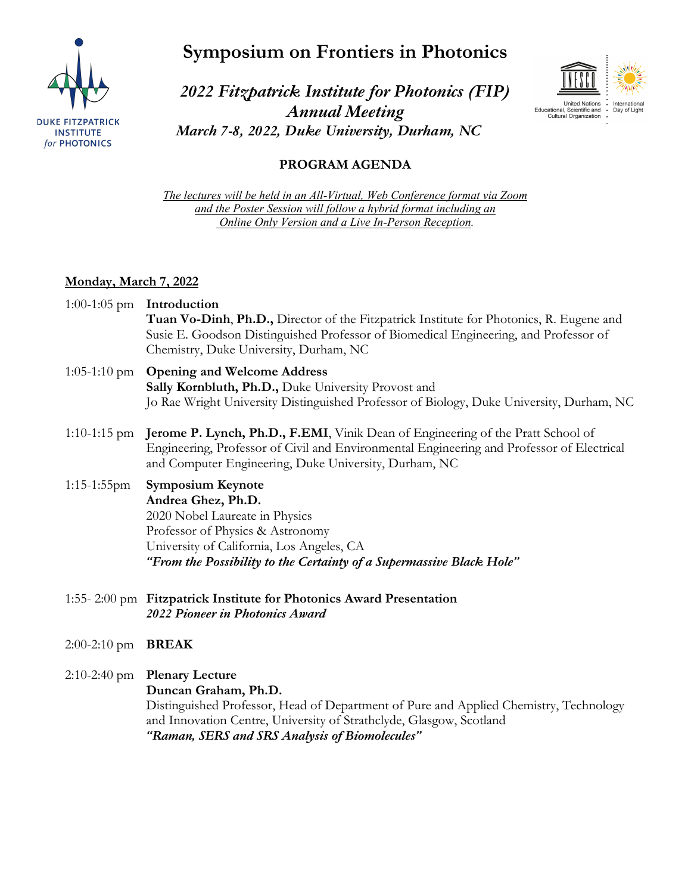

**Symposium on Frontiers in Photonics**



*2022 Fitzpatrick Institute for Photonics (FIP) Annual Meeting March 7-8, 2022, Duke University, Durham, NC*

# **PROGRAM AGENDA**

*The lectures will be held in an All-Virtual, Web Conference format via Zoom and the Poster Session will follow a hybrid format including an Online Only Version and a Live In-Person Reception.*

## **Monday, March 7, 2022**

- 1:00-1:05 pm **Introduction Tuan Vo-Dinh**, **Ph.D.,** Director of the Fitzpatrick Institute for Photonics, R. Eugene and Susie E. Goodson Distinguished Professor of Biomedical Engineering, and Professor of Chemistry, Duke University, Durham, NC
- 1:05-1:10 pm **Opening and Welcome Address Sally Kornbluth, Ph.D.,** Duke University Provost and Jo Rae Wright University Distinguished Professor of Biology, Duke University, Durham, NC
- 1:10-1:15 pm **Jerome P. Lynch, Ph.D., F.EMI**, Vinik Dean of Engineering of the Pratt School of Engineering, Professor of Civil and Environmental Engineering and Professor of Electrical and Computer Engineering, Duke University, Durham, NC
- 1:15-1:55pm **Symposium Keynote Andrea Ghez, Ph.D.** 2020 Nobel Laureate in Physics Professor of Physics & Astronomy University of California, Los Angeles, CA *"From the Possibility to the Certainty of a Supermassive Black Hole"*
- 1:55- 2:00 pm **Fitzpatrick Institute for Photonics Award Presentation** *2022 Pioneer in Photonics Award*
- 2:00-2:10 pm **BREAK**
- 2:10-2:40 pm **Plenary Lecture**

**Duncan Graham, Ph.D.**

Distinguished Professor, Head of Department of Pure and Applied Chemistry, Technology and Innovation Centre, University of Strathclyde, Glasgow, Scotland *"Raman, SERS and SRS Analysis of Biomolecules"*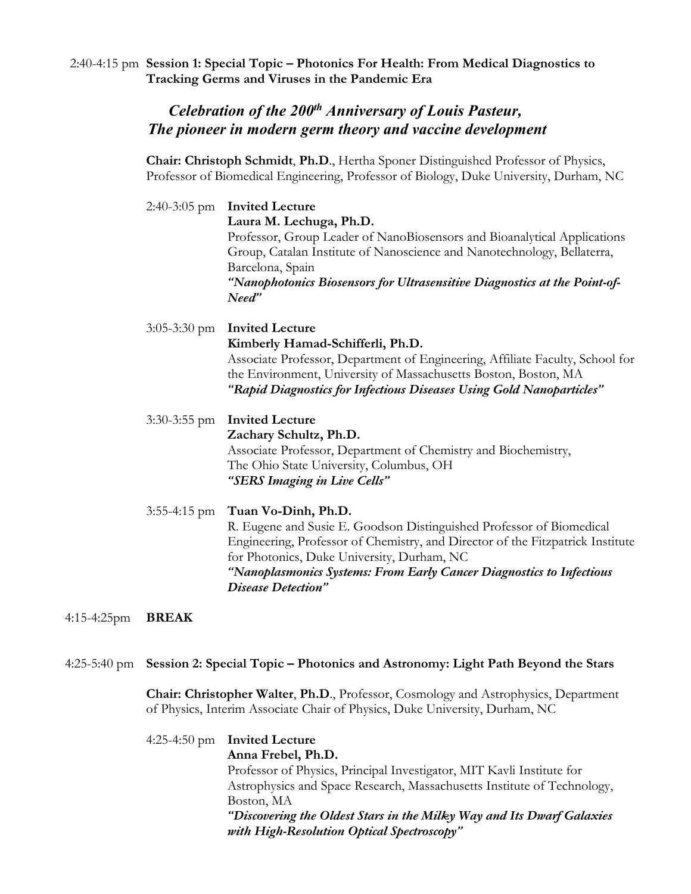2:40-4:15 pm **Session 1: Special Topic – Photonics For Health: From Medical Diagnostics to Tracking Germs and Viruses in the Pandemic Era**

# *Celebration of the 200th Anniversary of Louis Pasteur, The pioneer in modern germ theory and vaccine development*

**Chair: Christoph Schmidt**, **Ph.D**., Hertha Sponer Distinguished Professor of Physics, Professor of Biomedical Engineering, Professor of Biology, Duke University, Durham, NC

2:40-3:05 pm **Invited Lecture Laura M. Lechuga, Ph.D.** Professor, Group Leader of NanoBiosensors and Bioanalytical Applications Group, Catalan Institute of Nanoscience and Nanotechnology, Bellaterra, Barcelona, Spain *"Nanophotonics Biosensors for Ultrasensitive Diagnostics at the Point-of-Need"*

3:05-3:30 pm **Invited Lecture Kimberly Hamad-Schifferli, Ph.D.** Associate Professor, Department of Engineering, Affiliate Faculty, School for the Environment, University of Massachusetts Boston, Boston, MA *"Rapid Diagnostics for Infectious Diseases Using Gold Nanoparticles"*

# 3:30-3:55 pm **Invited Lecture Zachary Schultz, Ph.D.** Associate Professor, Department of Chemistry and Biochemistry, The Ohio State University, Columbus, OH *"SERS Imaging in Live Cells"*

3:55-4:15 pm **Tuan Vo-Dinh, Ph.D.** R. Eugene and Susie E. Goodson Distinguished Professor of Biomedical Engineering, Professor of Chemistry, and Director of the Fitzpatrick Institute for Photonics, Duke University, Durham, NC *"Nanoplasmonics Systems: From Early Cancer Diagnostics to Infectious Disease Detection"*

4:15-4:25pm **BREAK**

### 4:25-5:40 pm **Session 2: Special Topic – Photonics and Astronomy: Light Path Beyond the Stars**

**Chair: Christopher Walter**, **Ph.D**., Professor, Cosmology and Astrophysics, Department of Physics, Interim Associate Chair of Physics, Duke University, Durham, NC

4:25-4:50 pm **Invited Lecture Anna Frebel, Ph.D.** Professor of Physics, Principal Investigator, MIT Kavli Institute for Astrophysics and Space Research, Massachusetts Institute of Technology, Boston, MA *"Discovering the Oldest Stars in the Milky Way and Its Dwarf Galaxies with High-Resolution Optical Spectroscopy"*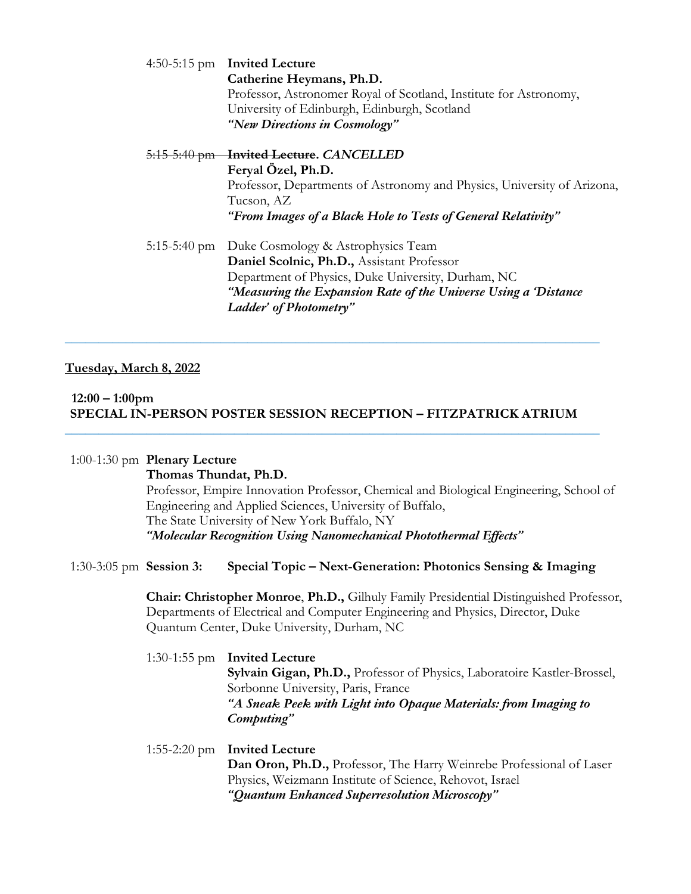|  | 4:50-5:15 pm Invited Lecture                                            |
|--|-------------------------------------------------------------------------|
|  | Catherine Heymans, Ph.D.                                                |
|  | Professor, Astronomer Royal of Scotland, Institute for Astronomy,       |
|  | University of Edinburgh, Edinburgh, Scotland                            |
|  | "New Directions in Cosmology"                                           |
|  | 5:15-5:40 pm Invited Lecture. CANCELLED                                 |
|  | Feryal Özel, Ph.D.                                                      |
|  | Professor, Departments of Astronomy and Physics, University of Arizona, |
|  | Tucson, AZ                                                              |
|  | "From Images of a Black Hole to Tests of General Relativity"            |
|  | 5:15-5:40 pm Duke Cosmology & Astrophysics Team                         |
|  | Daniel Scolnic, Ph.D., Assistant Professor                              |
|  | Department of Physics, Duke University, Durham, NC                      |
|  | "Measuring the Expansion Rate of the Universe Using a 'Distance'        |
|  | Ladder' of Photometry"                                                  |
|  |                                                                         |

## **Tuesday, March 8, 2022**

#### **12:00 – 1:00pm SPECIAL IN-PERSON POSTER SESSION RECEPTION – FITZPATRICK ATRIUM** \_\_\_\_\_\_\_\_\_\_\_\_\_\_\_\_\_\_\_\_\_\_\_\_\_\_\_\_\_\_\_\_\_\_\_\_\_\_\_\_\_\_\_\_\_\_\_\_\_\_\_\_\_\_\_\_\_\_\_\_\_\_\_\_\_\_\_\_\_\_\_\_\_\_\_\_\_\_\_

\_\_\_\_\_\_\_\_\_\_\_\_\_\_\_\_\_\_\_\_\_\_\_\_\_\_\_\_\_\_\_\_\_\_\_\_\_\_\_\_\_\_\_\_\_\_\_\_\_\_\_\_\_\_\_\_\_\_\_\_\_\_\_\_\_\_\_\_\_\_\_\_\_\_\_\_\_\_\_

#### 1:00-1:30 pm **Plenary Lecture**

**Thomas Thundat, Ph.D.** Professor, Empire Innovation Professor, Chemical and Biological Engineering, School of Engineering and Applied Sciences, University of Buffalo, The State University of New York Buffalo, NY *"Molecular Recognition Using Nanomechanical Photothermal Effects"*

#### 1:30-3:05 pm **Session 3: Special Topic – Next-Generation: Photonics Sensing & Imaging**

**Chair: Christopher Monroe**, **Ph.D.,** Gilhuly Family Presidential Distinguished Professor, Departments of Electrical and Computer Engineering and Physics, Director, Duke Quantum Center, Duke University, Durham, NC

# 1:30-1:55 pm **Invited Lecture Sylvain Gigan, Ph.D.,** Professor of Physics, Laboratoire Kastler-Brossel, Sorbonne University, Paris, France *"A Sneak Peek with Light into Opaque Materials: from Imaging to Computing"*

1:55-2:20 pm **Invited Lecture Dan Oron, Ph.D.,** Professor, The Harry Weinrebe Professional of Laser Physics, Weizmann Institute of Science, Rehovot, Israel *"Quantum Enhanced Superresolution Microscopy"*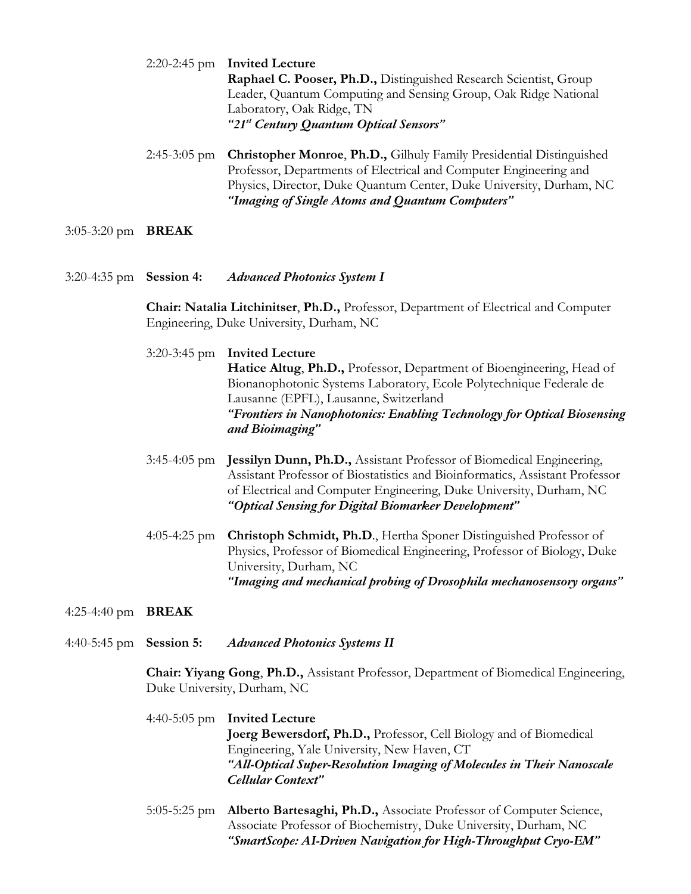2:20-2:45 pm **Invited Lecture Raphael C. Pooser, Ph.D.,** Distinguished Research Scientist, Group Leader, Quantum Computing and Sensing Group, Oak Ridge National Laboratory, Oak Ridge, TN *"21st Century Quantum Optical Sensors"*

2:45-3:05 pm **Christopher Monroe**, **Ph.D.,** Gilhuly Family Presidential Distinguished Professor, Departments of Electrical and Computer Engineering and Physics, Director, Duke Quantum Center, Duke University, Durham, NC *"Imaging of Single Atoms and Quantum Computers"*

- 3:05-3:20 pm **BREAK**
- 3:20-4:35 pm **Session 4:** *Advanced Photonics System I*

**Chair: Natalia Litchinitser**, **Ph.D.,** Professor, Department of Electrical and Computer Engineering, Duke University, Durham, NC

# 3:20-3:45 pm **Invited Lecture Hatice Altug**, **Ph.D.,** Professor, Department of Bioengineering, Head of Bionanophotonic Systems Laboratory, Ecole Polytechnique Federale de Lausanne (EPFL), Lausanne, Switzerland *"Frontiers in Nanophotonics: Enabling Technology for Optical Biosensing and Bioimaging"*

- 3:45-4:05 pm **Jessilyn Dunn, Ph.D.,** Assistant Professor of Biomedical Engineering, Assistant Professor of Biostatistics and Bioinformatics, Assistant Professor of Electrical and Computer Engineering, Duke University, Durham, NC *"Optical Sensing for Digital Biomarker Development"*
- 4:05-4:25 pm **Christoph Schmidt, Ph.D**., Hertha Sponer Distinguished Professor of Physics, Professor of Biomedical Engineering, Professor of Biology, Duke University, Durham, NC *"Imaging and mechanical probing of Drosophila mechanosensory organs"*
- 4:25-4:40 pm **BREAK**

4:40-5:45 pm **Session 5:** *Advanced Photonics Systems II*

**Chair: Yiyang Gong**, **Ph.D.,** Assistant Professor, Department of Biomedical Engineering, Duke University, Durham, NC

- 4:40-5:05 pm **Invited Lecture Joerg Bewersdorf, Ph.D.,** Professor, Cell Biology and of Biomedical Engineering, Yale University, New Haven, CT *"All-Optical Super-Resolution Imaging of Molecules in Their Nanoscale Cellular Context"*
- 5:05-5:25 pm **Alberto Bartesaghi, Ph.D.,** Associate Professor of Computer Science, Associate Professor of Biochemistry, Duke University, Durham, NC *"SmartScope: AI-Driven Navigation for High-Throughput Cryo-EM"*